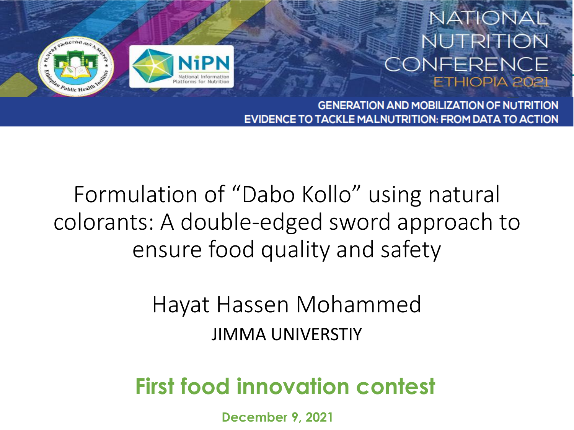

## **NATIONAL NUTRITION** CONFERENCE ETHIOPIA 2021

**GENERATION AND MOBILIZATION OF NUTRITION** EVIDENCE TO TACKLE MALNUTRITION: FROM DATA TO ACTION

Formulation of "Dabo Kollo" using natural colorants: A double-edged sword approach to ensure food quality and safety

> Hayat Hassen Mohammed JIMMA UNIVERSTIY

**First food innovation contest** 

**December 9, 2021**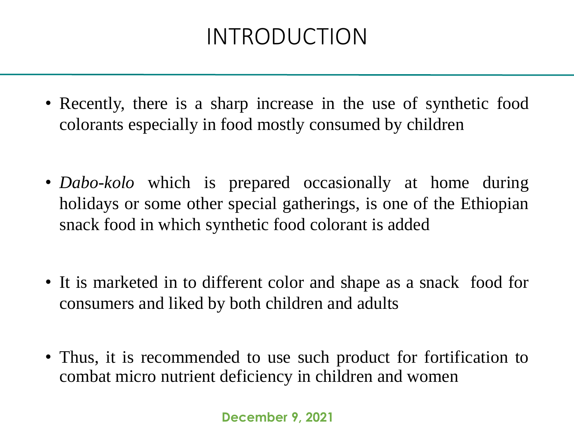## INTRODUCTION

- Recently, there is a sharp increase in the use of synthetic food colorants especially in food mostly consumed by children
- *Dabo-kolo* which is prepared occasionally at home during holidays or some other special gatherings, is one of the Ethiopian snack food in which synthetic food colorant is added
- It is marketed in to different color and shape as a snack food for consumers and liked by both children and adults
- Thus, it is recommended to use such product for fortification to combat micro nutrient deficiency in children and women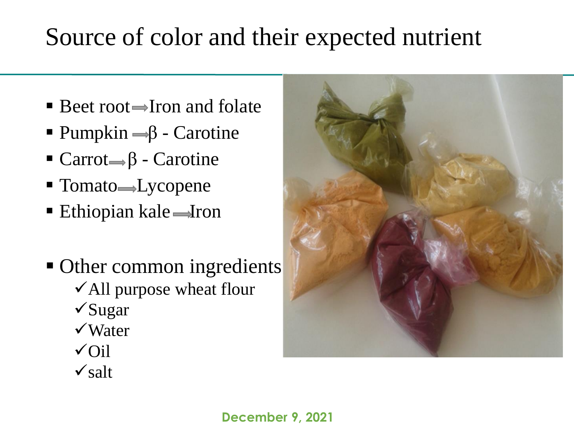## Source of color and their expected nutrient

- $\blacksquare$  Beet root $\rightarrow$ Iron and folate
- Pumpkin  $\rightarrow \beta$  Carotine
- $\blacksquare$  Carrot  $\rightarrow$   $\beta$  Carotine
- $\blacksquare$  Tomato $\blacksquare$ Lycopene
- $\blacksquare$  Ethiopian kale  $\blacksquare$  Iron
- Other common ingredients
	- $\checkmark$  All purpose wheat flour
	- Sugar
	- Water
	- $\sqrt{O}$ il
	- $\sqrt{\text{salt}}$

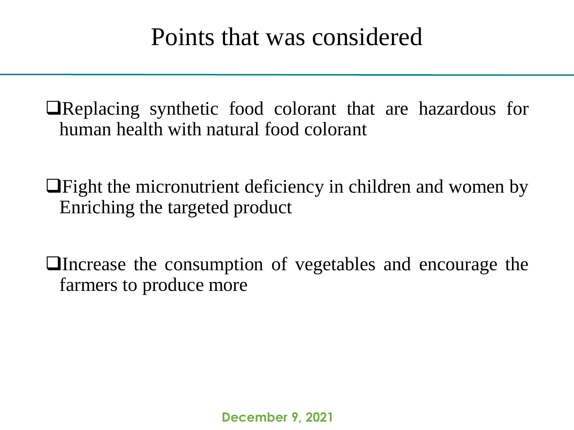Replacing synthetic food colorant that are hazardous for human health with natural food colorant

Fight the micronutrient deficiency in children and women by Enriching the targeted product

Increase the consumption of vegetables and encourage the farmers to produce more